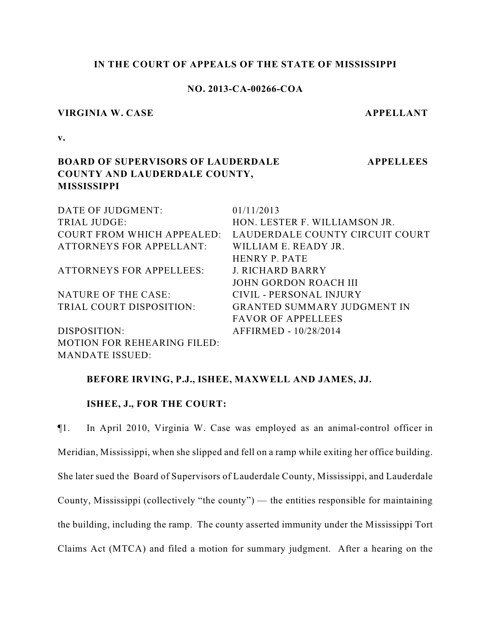## **IN THE COURT OF APPEALS OF THE STATE OF MISSISSIPPI**

### **NO. 2013-CA-00266-COA**

#### **VIRGINIA W. CASE APPELLANT**

**APPELLEES**

**v.**

# **BOARD OF SUPERVISORS OF LAUDERDALE COUNTY AND LAUDERDALE COUNTY, MISSISSIPPI**

| DATE OF JUDGMENT:                  | 01/11/2013                         |
|------------------------------------|------------------------------------|
| TRIAL JUDGE:                       | HON. LESTER F. WILLIAMSON JR.      |
| COURT FROM WHICH APPEALED:         | LAUDERDALE COUNTY CIRCUIT COURT    |
| <b>ATTORNEYS FOR APPELLANT:</b>    | WILLIAM E. READY JR.               |
|                                    | HENRY P. PATE                      |
| <b>ATTORNEYS FOR APPELLEES:</b>    | <b>J. RICHARD BARRY</b>            |
|                                    | JOHN GORDON ROACH III              |
| NATURE OF THE CASE:                | CIVIL - PERSONAL INJURY            |
| TRIAL COURT DISPOSITION:           | <b>GRANTED SUMMARY JUDGMENT IN</b> |
|                                    | <b>FAVOR OF APPELLEES</b>          |
| DISPOSITION:                       | AFFIRMED - 10/28/2014              |
| <b>MOTION FOR REHEARING FILED:</b> |                                    |
| <b>MANDATE ISSUED:</b>             |                                    |

### **BEFORE IRVING, P.J., ISHEE, MAXWELL AND JAMES, JJ.**

## **ISHEE, J., FOR THE COURT:**

¶1. In April 2010, Virginia W. Case was employed as an animal-control officer in Meridian, Mississippi, when she slipped and fell on a ramp while exiting her office building. She later sued the Board of Supervisors of Lauderdale County, Mississippi, and Lauderdale County, Mississippi (collectively "the county") — the entities responsible for maintaining the building, including the ramp. The county asserted immunity under the Mississippi Tort Claims Act (MTCA) and filed a motion for summary judgment. After a hearing on the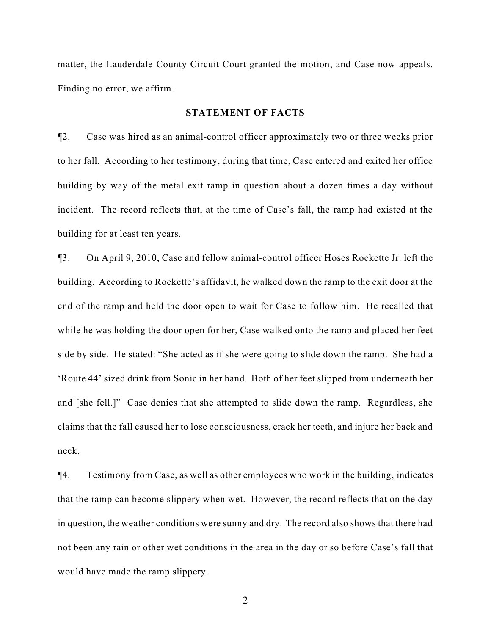matter, the Lauderdale County Circuit Court granted the motion, and Case now appeals. Finding no error, we affirm.

#### **STATEMENT OF FACTS**

¶2. Case was hired as an animal-control officer approximately two or three weeks prior to her fall. According to her testimony, during that time, Case entered and exited her office building by way of the metal exit ramp in question about a dozen times a day without incident. The record reflects that, at the time of Case's fall, the ramp had existed at the building for at least ten years.

¶3. On April 9, 2010, Case and fellow animal-control officer Hoses Rockette Jr. left the building. According to Rockette's affidavit, he walked down the ramp to the exit door at the end of the ramp and held the door open to wait for Case to follow him. He recalled that while he was holding the door open for her, Case walked onto the ramp and placed her feet side by side. He stated: "She acted as if she were going to slide down the ramp. She had a 'Route 44' sized drink from Sonic in her hand. Both of her feet slipped from underneath her and [she fell.]" Case denies that she attempted to slide down the ramp. Regardless, she claims that the fall caused her to lose consciousness, crack her teeth, and injure her back and neck.

¶4. Testimony from Case, as well as other employees who work in the building, indicates that the ramp can become slippery when wet. However, the record reflects that on the day in question, the weather conditions were sunny and dry. The record also shows that there had not been any rain or other wet conditions in the area in the day or so before Case's fall that would have made the ramp slippery.

2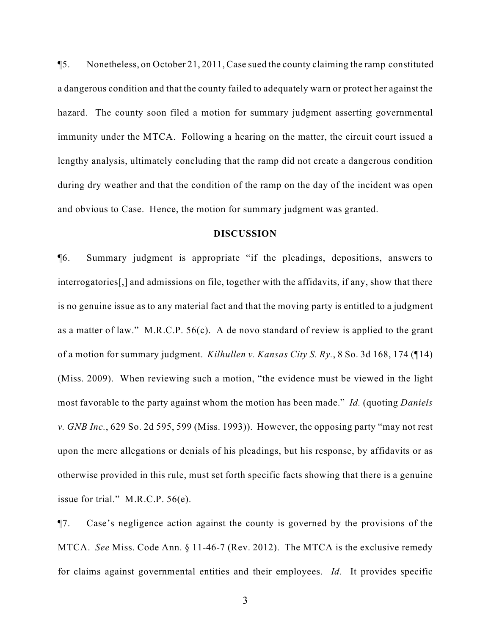¶5. Nonetheless, on October 21, 2011, Case sued the county claiming the ramp constituted a dangerous condition and that the county failed to adequately warn or protect her against the hazard. The county soon filed a motion for summary judgment asserting governmental immunity under the MTCA. Following a hearing on the matter, the circuit court issued a lengthy analysis, ultimately concluding that the ramp did not create a dangerous condition during dry weather and that the condition of the ramp on the day of the incident was open and obvious to Case. Hence, the motion for summary judgment was granted.

#### **DISCUSSION**

¶6. Summary judgment is appropriate "if the pleadings, depositions, answers to interrogatories[,] and admissions on file, together with the affidavits, if any, show that there is no genuine issue as to any material fact and that the moving party is entitled to a judgment as a matter of law." M.R.C.P. 56(c). A de novo standard of review is applied to the grant of a motion for summary judgment. *Kilhullen v. Kansas City S. Ry.*, 8 So. 3d 168, 174 (¶14) (Miss. 2009). When reviewing such a motion, "the evidence must be viewed in the light most favorable to the party against whom the motion has been made." *Id.* (quoting *Daniels v. GNB Inc.*, 629 So. 2d 595, 599 (Miss. 1993)). However, the opposing party "may not rest upon the mere allegations or denials of his pleadings, but his response, by affidavits or as otherwise provided in this rule, must set forth specific facts showing that there is a genuine issue for trial." M.R.C.P. 56(e).

¶7. Case's negligence action against the county is governed by the provisions of the MTCA. *See* Miss. Code Ann. § 11-46-7 (Rev. 2012). The MTCA is the exclusive remedy for claims against governmental entities and their employees. *Id.* It provides specific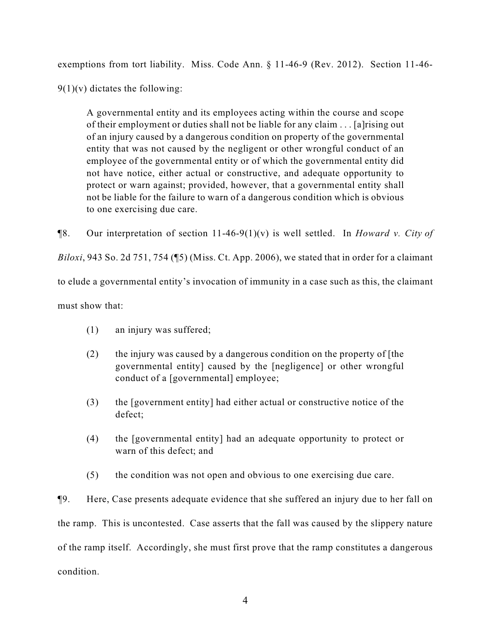exemptions from tort liability. Miss. Code Ann. § 11-46-9 (Rev. 2012). Section 11-46-

 $9(1)(v)$  dictates the following:

A governmental entity and its employees acting within the course and scope of their employment or duties shall not be liable for any claim . . . [a]rising out of an injury caused by a dangerous condition on property of the governmental entity that was not caused by the negligent or other wrongful conduct of an employee of the governmental entity or of which the governmental entity did not have notice, either actual or constructive, and adequate opportunity to protect or warn against; provided, however, that a governmental entity shall not be liable for the failure to warn of a dangerous condition which is obvious to one exercising due care.

¶8. Our interpretation of section 11-46-9(1)(v) is well settled. In *Howard v. City of*

*Biloxi*, 943 So. 2d 751, 754 (¶5) (Miss. Ct. App. 2006), we stated that in order for a claimant

to elude a governmental entity's invocation of immunity in a case such as this, the claimant

must show that:

- (1) an injury was suffered;
- (2) the injury was caused by a dangerous condition on the property of [the governmental entity] caused by the [negligence] or other wrongful conduct of a [governmental] employee;
- (3) the [government entity] had either actual or constructive notice of the defect;
- (4) the [governmental entity] had an adequate opportunity to protect or warn of this defect; and
- (5) the condition was not open and obvious to one exercising due care.

¶9. Here, Case presents adequate evidence that she suffered an injury due to her fall on the ramp. This is uncontested. Case asserts that the fall was caused by the slippery nature of the ramp itself. Accordingly, she must first prove that the ramp constitutes a dangerous condition.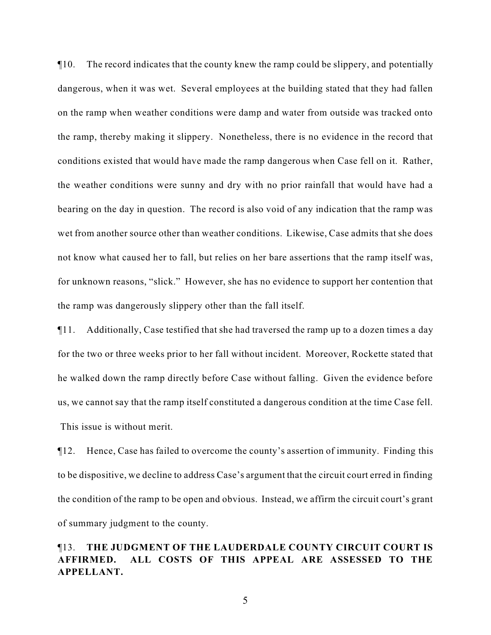¶10. The record indicates that the county knew the ramp could be slippery, and potentially dangerous, when it was wet. Several employees at the building stated that they had fallen on the ramp when weather conditions were damp and water from outside was tracked onto the ramp, thereby making it slippery. Nonetheless, there is no evidence in the record that conditions existed that would have made the ramp dangerous when Case fell on it. Rather, the weather conditions were sunny and dry with no prior rainfall that would have had a bearing on the day in question. The record is also void of any indication that the ramp was wet from another source other than weather conditions. Likewise, Case admits that she does not know what caused her to fall, but relies on her bare assertions that the ramp itself was, for unknown reasons, "slick." However, she has no evidence to support her contention that the ramp was dangerously slippery other than the fall itself.

¶11. Additionally, Case testified that she had traversed the ramp up to a dozen times a day for the two or three weeks prior to her fall without incident. Moreover, Rockette stated that he walked down the ramp directly before Case without falling. Given the evidence before us, we cannot say that the ramp itself constituted a dangerous condition at the time Case fell. This issue is without merit.

¶12. Hence, Case has failed to overcome the county's assertion of immunity. Finding this to be dispositive, we decline to address Case's argument that the circuit court erred in finding the condition of the ramp to be open and obvious. Instead, we affirm the circuit court's grant of summary judgment to the county.

# ¶13. **THE JUDGMENT OF THE LAUDERDALE COUNTY CIRCUIT COURT IS AFFIRMED. ALL COSTS OF THIS APPEAL ARE ASSESSED TO THE APPELLANT.**

5